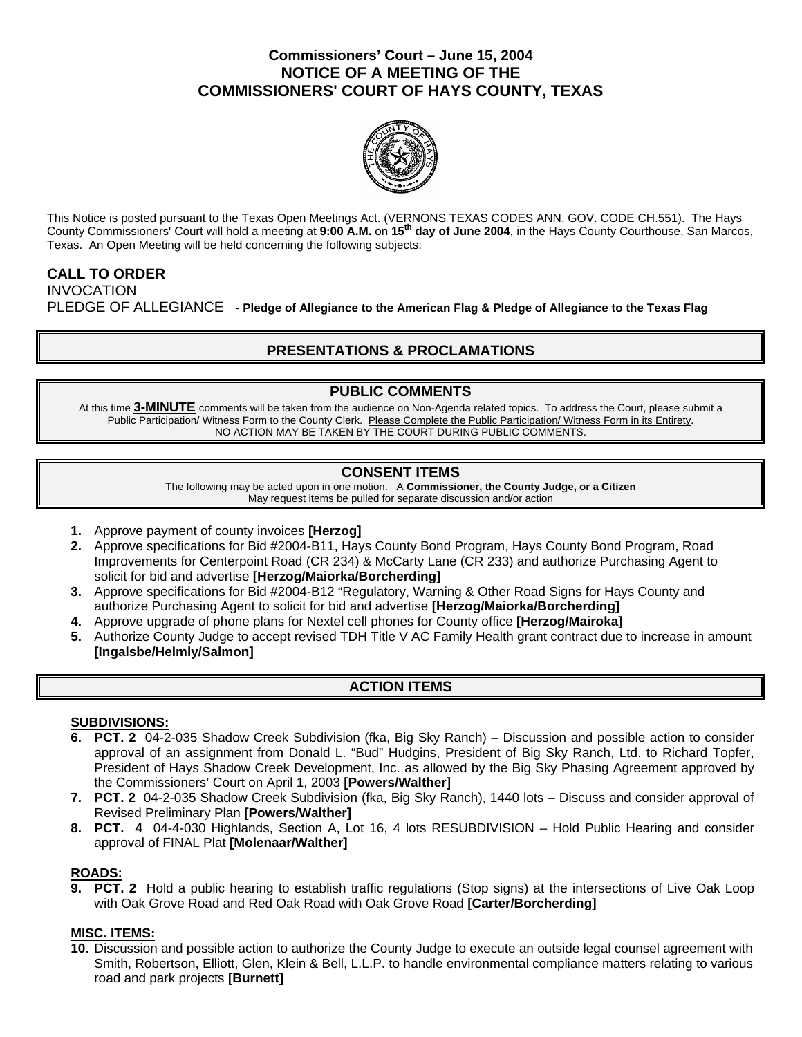## **Commissioners' Court – June 15, 2004 NOTICE OF A MEETING OF THE COMMISSIONERS' COURT OF HAYS COUNTY, TEXAS**



This Notice is posted pursuant to the Texas Open Meetings Act. (VERNONS TEXAS CODES ANN. GOV. CODE CH.551). The Hays County Commissioners' Court will hold a meeting at **9:00 A.M.** on **15th day of June 2004**, in the Hays County Courthouse, San Marcos, Texas. An Open Meeting will be held concerning the following subjects:

### **CALL TO ORDER**  INVOCATION

PLEDGE OF ALLEGIANCE - **Pledge of Allegiance to the American Flag & Pledge of Allegiance to the Texas Flag** 

# **PRESENTATIONS & PROCLAMATIONS**

## **PUBLIC COMMENTS**

At this time **3-MINUTE** comments will be taken from the audience on Non-Agenda related topics. To address the Court, please submit a Public Participation/ Witness Form to the County Clerk. Please Complete the Public Participation/ Witness Form in its Entirety. NO ACTION MAY BE TAKEN BY THE COURT DURING PUBLIC COMMENTS.

## **CONSENT ITEMS**

The following may be acted upon in one motion. A **Commissioner, the County Judge, or a Citizen** May request items be pulled for separate discussion and/or action

- **1.** Approve payment of county invoices **[Herzog]**
- **2.** Approve specifications for Bid #2004-B11, Hays County Bond Program, Hays County Bond Program, Road Improvements for Centerpoint Road (CR 234) & McCarty Lane (CR 233) and authorize Purchasing Agent to solicit for bid and advertise **[Herzog/Maiorka/Borcherding]**
- **3.** Approve specifications for Bid #2004-B12 "Regulatory, Warning & Other Road Signs for Hays County and authorize Purchasing Agent to solicit for bid and advertise **[Herzog/Maiorka/Borcherding]**
- **4.** Approve upgrade of phone plans for Nextel cell phones for County office **[Herzog/Mairoka]**
- **5.** Authorize County Judge to accept revised TDH Title V AC Family Health grant contract due to increase in amount **[Ingalsbe/Helmly/Salmon]**

## **ACTION ITEMS**

### **SUBDIVISIONS:**

- **6. PCT. 2** 04-2-035 Shadow Creek Subdivision (fka, Big Sky Ranch) Discussion and possible action to consider approval of an assignment from Donald L. "Bud" Hudgins, President of Big Sky Ranch, Ltd. to Richard Topfer, President of Hays Shadow Creek Development, Inc. as allowed by the Big Sky Phasing Agreement approved by the Commissioners' Court on April 1, 2003 **[Powers/Walther]**
- **7. PCT. 2** 04-2-035 Shadow Creek Subdivision (fka, Big Sky Ranch), 1440 lots Discuss and consider approval of Revised Preliminary Plan **[Powers/Walther]**
- **8. PCT. 4** 04-4-030 Highlands, Section A, Lot 16, 4 lots RESUBDIVISION Hold Public Hearing and consider approval of FINAL Plat **[Molenaar/Walther]**

### **ROADS:**

**9. PCT. 2** Hold a public hearing to establish traffic regulations (Stop signs) at the intersections of Live Oak Loop with Oak Grove Road and Red Oak Road with Oak Grove Road **[Carter/Borcherding]** 

### **MISC. ITEMS:**

**10.** Discussion and possible action to authorize the County Judge to execute an outside legal counsel agreement with Smith, Robertson, Elliott, Glen, Klein & Bell, L.L.P. to handle environmental compliance matters relating to various road and park projects **[Burnett]**